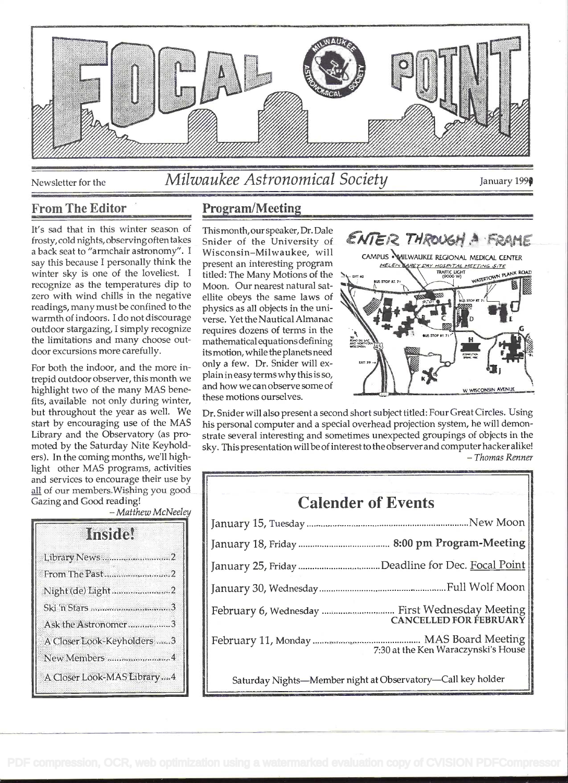

Newsletter for the

# Milwaukee Astronomical Society

January 199

## **From The Editor**

It's sad that in this winter season of frosty, cold nights, observing often takes a back seat to "armchair astronomy". I say this because I personally think the winter sky is one of the loveliest. I recognize as the temperatures dip to zero with wind chills in the negative readings, many must be confined to the warmth of indoors. I do not discourage outdoor stargazing, I simply recognize the limitations and many choose outdoor excursions more carefully.

For both the indoor, and the more intrepid outdoor observer, this month we highlight two of the many MAS benefits, available not only during winter, but throughout the year as well. We start by encouraging use of the MAS Library and the Observatory (as promoted by the Saturday Nite Keyholders). In the coming months, we'll highlight other MAS programs, activities and services to encourage their use by all of our members. Wishing you good Gazing and Good reading!

- Matthew McNeeley

| Imstrie.                    |
|-----------------------------|
| Library News 2              |
| From The Past2              |
| Night (de) Light 2          |
|                             |
| Ask the Astronomer3         |
| A Closer Look-Keyholders 3  |
| New Members 4               |
| A Closer Look-MAS Library 4 |

# **Program/Meeting**

Thismonth, our speaker, Dr. Dale Snider of the University of Wisconsin-Milwaukee, will present an interesting program titled: The Many Motions of the Moon. Our nearest natural satellite obeys the same laws of physics as all objects in the universe. Yet the Nautical Almanac requires dozens of terms in the mathematical equations defining its motion, while the planets need only a few. Dr. Snider will explain in easy terms why this is so, and how we can observe some of these motions ourselves.



Dr. Snider will also present a second short subject titled: Four Great Circles. Using his personal computer and a special overhead projection system, he will demonstrate several interesting and sometimes unexpected groupings of objects in the sky. This presentation will be of interest to the observer and computer hacker alike!  $-$ Thomas Renner

| <b>Calender of Events</b>                                   |                                     |
|-------------------------------------------------------------|-------------------------------------|
|                                                             |                                     |
|                                                             |                                     |
| January 25, Friday Deadline for Dec. Focal Point            |                                     |
|                                                             |                                     |
| February 6, Wednesday  First Wednesday Meeting              | CANCELLED FOR FEBRUARY              |
|                                                             | 7:30 at the Ken Waraczynski's House |
| Saturday Nights-Member night at Observatory-Call key holder |                                     |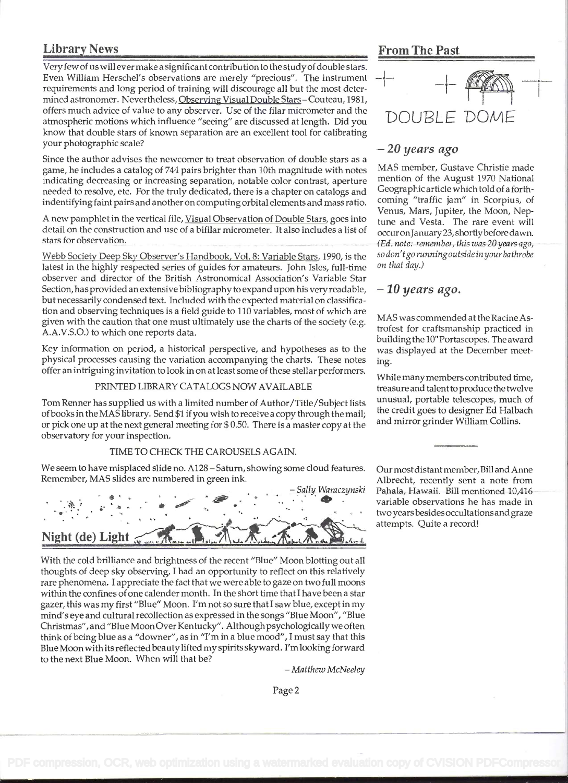# Library News From The Past

Very few of us will ever make a significant contribution to the studyof double stars. Even William Herschel's observations are merely "precious". The instrument requirements and long period of training will discourage all but the most determined astronomer. Nevertheless, Observing Visual Double Stars - Couteau, 1981, offers much advice of value to any observer. Use of the filar micrometer and the<br>atmospheric motions which influence "seeing" are discussed at length. Did you atmospheric motions which influence "seeing" are discussed at length. Did you know that double stars of known separation are an excellent tool for calibrating your photographic scale?

Since the author advises the newcomer to treat observation of double stars as a<br>game he includes a catalog of 744 pairs brighter than 10th magnitude with notes MAS member, Gustave Christie made game, he includes a catalog of 744 pairs brighter than 10th magnitude with notes MAS member, Gustave Christie made<br>indicating decreasing or increasing separation, notable color contrast, aperture in mention of the August 1 indicating decreasing or increasing separation, notable color contrast, aperture mention of the August 1970 National needed to resolve, etc. For the truly dedicated, there is a chapter on catalogs and Geographic article which told of a forth-<br>indentifying faint pairs and another on computing orbital elements and mass ratio coming "traffi indentifying faint pairs and another on computing orbital elements and mass ratio. Coming "traffic" jam" in Scorpius, of<br>Venus, Mars, Jupiter, the Moon, Nep-

A new pamphlet in the vertical file, Visual Observation of Double Stars, goes into tune and Vesta. The rare event will detail on the construction and use of a bifilar micrometer. It also includes a list of occuronJanuary 23, shortly before dawn.<br>Stars for observation.

Webb Society Deep Sky Observer's Handbook, Vol. 8: Variable Stars, 1990, is the sodon't gorunning outside in your bathrobe<br>latest in the highly respected series of guides for amateurs. John Isles, full-time on that day.) latest in the highly respected series of guides for amateurs. John Isles, full-time observer and director of the British Astronomical Association's Variable Star Section, has provided an extensive bibliography to expand upon his very readable,  $-10$  years ago. but necessarily condensed text. Included with the expected material on classification and observing techniques is a field guide to 110 variables, most of which are<br>given with the coution that are must ultimately use the sharts of the society (e.g. MAS was commended at the Racine Asextra providing the caution that one must ultimately use the charts of the society (e.g. THAD WAS CONDITION AT UP NATURE AS-<br>A.A.V.S.O.) to which one reports data.<br>building the 10" Portascopes. The award

Key information on period, a historical perspective, and hypotheses as to the was displayed at the December meetphysical processes causing the variation accompanying the charts. These notes ing. offer an intriguing invitation to look in on at least some of these stellar performers. While many members contributed time,

## PRINTED LIBRARY CATALOGS NOW AVAILABLE treasure and talent to produce the twelve

Tom Renner has supplied us with a limited number of Author/Title/Subject lists unusual, portable telescopes, much of<br>of books in the MAS library, Send \$1 if you wish to receive a copy through the mail. If the credit goes t of books in the MAS library. Send \$1 if you wish to receive a copy through the mail; the credit goes to designer Ed Halbach<br>or pick one un at the next general meeting for \$0.50. There is a master copy at the and mirror gri or pick one up at the next general meeting for \$0.50. There is a master copy at the observatory for your inspection.

### TIME TO CHECK THE CAROUSELS AGAIN.

We seem to have misplaced slide no. A128 - Saturn, showing some cloud features. Our most distant member, Bill and Anne



With the cold brilliance and brightness of the recent "Blue" Moon blotting out all thoughts of deep sky observing, I had an opportunity to reflect on this relatively rare phenomena. I appreciate the fact that we were able to gaze on two full moons within the confines of one calender month. In the short time that I have been a star gazer, this was my first "Blue" Moon. I'm not so sure that I saw blue, except in my mind's eye and cultural recollection as expressed in the songs "Blue Moon", "Blue Christmas", and "Blue Moon Over Kentucky" . Although psychologically we often think of being blue as a "downer", as in "I'm in a blue mood", I must say that this Blue Moon with its reflected beauty lifted my spirits skyward. I'm looking forward to the next Blue Moon. When will that be? - Matthew McNeeley



## 20 years ago

(Ed. note: remember, this was 20 years ago,

variable observations he has made in two years besides occultations and graze attempts. Quite a record!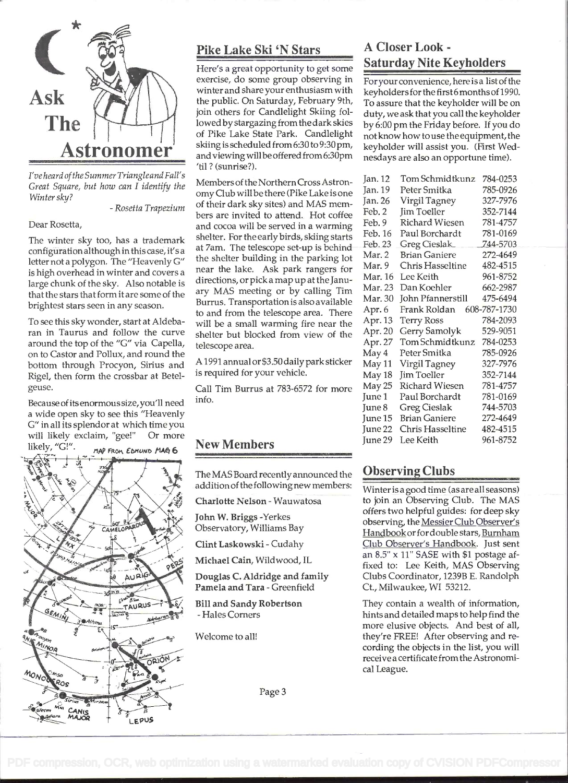

I'veheardoftheSummer Triangleand Fall's Great Square, but how can I identify the Winter sky?

- Rosetta Trapezium

Dear Rosetta,

The winter sky too, has a trademark configuration although in this case, it's a letter not a polygon. The "Heavenly G" is high overhead in winter and covers a large chunk of the sky. Also notable is that the stars that form it are some of the brightest stars seen in any season.

To see this sky wonder, start at Aldebaran in Taurus and follow the curve around the top of the "G" via Capella, on to Castor and Pollux, and round the bottom through Procyon, Sirius and Rige!, then form the crossbar at Betelgeuse.

Because of its enormous size, you'll need a wide open sky to see this "Heavenly G" in all its splendor at which time you will likely exclaim, "gee!" Or more likely, " $GI"$ . MAP FROM EDMUND MAG 6



## Pike Lake Ski 'N Stars

 $Astronomer$  skiing is scheduled from 6:30 to 9:30 pm, key Here's a great opportunity to get some exercise, do some group observing in winter and share your enthusiasm with the public. On Saturday, February 9th, join others for Candlelight Skiing followed by stargazing from the dark skies of Pike Lake State Park. Candlelight skiing is scheduled from 6:30 to 9:30 pm, 'til? (sunrise?).

> Members of the Northern Cross Astronomy Club will be there (Pike Lake is one of their dark sky sites) and MAS members are invited to attend. Hot coffee and cocoa will be served in a warming shelter. For the early birds, skiing starts at 7am. The telescope set-up is behind the shelter building in the parking lot near the lake. Ask park rangers for directions, or pick a map up at the January MAS meeting or by calling Tim Burrus. Transportation is also available to and from the telescope area. There will be a small warming fire near the shelter but blocked from view of the telescope area.

A 1991 annual or \$3.50 daily park sticker is required for your vehicle.

Call Tim Burrus at 783-6572 for more info.

## New Members

The MAS Board recently announced the addition of the following new members:

Charlotte Nelson - Wauwatosa

John W. Briggs -Yerkes Observatory, Williams Bay

Clint Laskowski - Cudahy

Michael Cain, Wildwood, IL

Douglas C. Aidridge and family Pamela and Tara - Greenfield

Bill and Sandy Robertson - Hales Corners

Welcome to all!

# A Closer Look - Saturday Nite Keyholders

For your convenience, here is a list of the keyholders for the first6 months of 1990. To assure that the keyholder will be on duty, we ask that you call the keyholder by 6:00 pm the Friday before. If you do not know how to use the equipment, the keyholder will assist you. (First Wednesdays are also an opportune time).

| Jan. 12   | Tom Schmidtkunz         | 784-0253     |
|-----------|-------------------------|--------------|
| Jan. 19   | Peter Smitka            | 785-0926     |
| Jan. 26   | Virgil Tagney           | 327-7976     |
| Feb. 2    | Jim Toeller             | 352-7144     |
| Feb. 9    | Richard Wiesen          | 781-4757     |
| Feb. 16   | Paul Borchardt          | 781-0169     |
| Feb. 23   | Greg Cieslak            | 744-5703     |
| Mar. 2    | <b>Brian Ganiere</b>    | 272-4649     |
| Mar. 9    | <b>Chris Hasseltine</b> | 482-4515     |
| Mar. 16   | Lee Keith               | 961-8752     |
| Mar. 23   | Dan Koehler             | 662-2987     |
| Mar. 30   | John Pfannerstill       | 475-6494     |
| Apr. 6    | Frank Roldan            | 608-787-1730 |
| Apr. 13   | <b>Terry Ross</b>       | 784-2093     |
| Apr. 20   | Gerry Samolyk           | 529-9051     |
| Apr. 27   | Tom Schmidtkunz         | 784-0253     |
| May 4     | Peter Smitka            | 785-0926     |
| May 11    | Virgil Tagney           | 327-7976     |
| May 18    | Jim Toeller             | 352-7144     |
| May 25    | Richard Wiesen          | 781-4757     |
| June 1    | Paul Borchardt          | 781-0169     |
| June 8    | <b>Greg Cieslak</b>     | 744-5703     |
| June 15   | <b>Brian Ganiere</b>    | 272-4649     |
| June 22   | Chris Hasseltine        | 482-4515     |
| June $29$ | Lee Keith               | 961-8752     |

## Observing Clubs

Winter is a good time (as are all seasons) to join an Observing Club. The MAS offers two helpful guides: for deep sky observing, the Messier Club Observer's Handbookor for double stars, Burnham Club Observer's Handbook. Just sent an 8.5" x 11" SASE with \$1 postage affixed to: Lee Keith, MAS Observing Clubs Coordinator, 1239B E. Randolph Ct., Milwaukee, WI 53212.

They contain a wealth of information, hints and detailed maps to help find the more elusive objects. And best of all, they're FREE! After observing and recording the objects in the list, you will receive a certificate from the Astronomical League.

Page 3